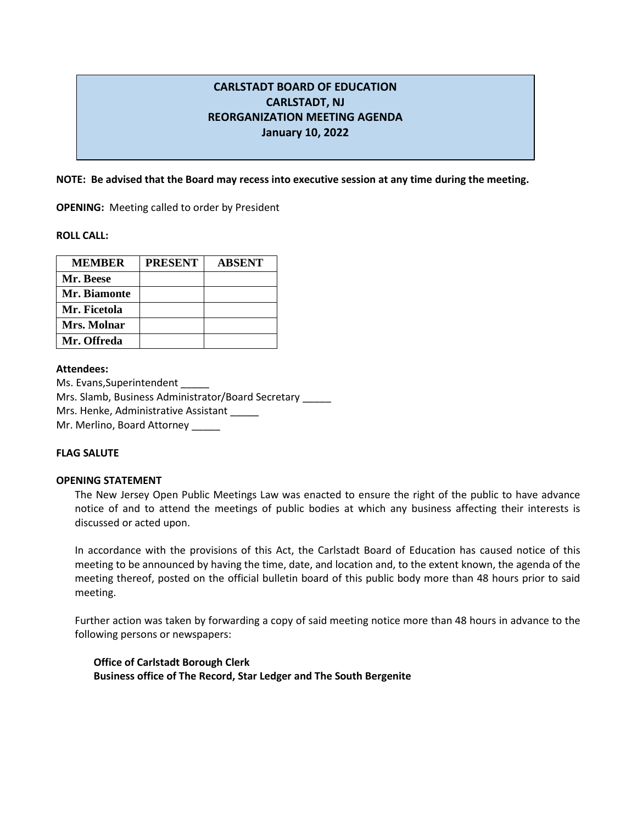# **CARLSTADT BOARD OF EDUCATION CARLSTADT, NJ REORGANIZATION MEETING AGENDA January 10, 2022**

## **NOTE: Be advised that the Board may recess into executive session at any time during the meeting.**

**OPENING:** Meeting called to order by President

**ROLL CALL:** 

| <b>MEMBER</b> | <b>PRESENT</b> | <b>ABSENT</b> |
|---------------|----------------|---------------|
| Mr. Beese     |                |               |
| Mr. Biamonte  |                |               |
| Mr. Ficetola  |                |               |
| Mrs. Molnar   |                |               |
| Mr. Offreda   |                |               |

### **Attendees:**

Ms. Evans, Superintendent Mrs. Slamb, Business Administrator/Board Secretary \_\_\_\_\_ Mrs. Henke, Administrative Assistant Mr. Merlino, Board Attorney

## **FLAG SALUTE**

### **OPENING STATEMENT**

The New Jersey Open Public Meetings Law was enacted to ensure the right of the public to have advance notice of and to attend the meetings of public bodies at which any business affecting their interests is discussed or acted upon.

In accordance with the provisions of this Act, the Carlstadt Board of Education has caused notice of this meeting to be announced by having the time, date, and location and, to the extent known, the agenda of the meeting thereof, posted on the official bulletin board of this public body more than 48 hours prior to said meeting.

Further action was taken by forwarding a copy of said meeting notice more than 48 hours in advance to the following persons or newspapers:

**Office of Carlstadt Borough Clerk Business office of The Record, Star Ledger and The South Bergenite**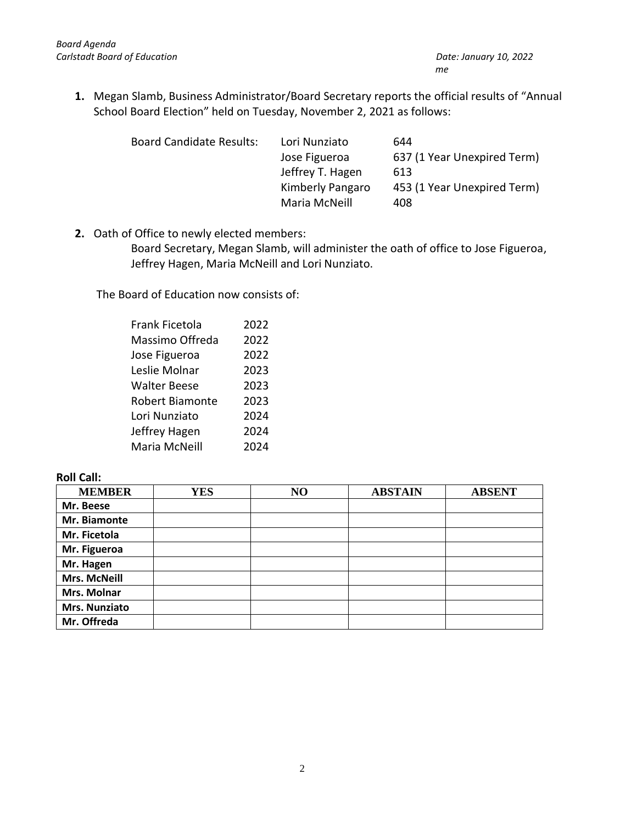**1.** Megan Slamb, Business Administrator/Board Secretary reports the official results of "Annual School Board Election" held on Tuesday, November 2, 2021 as follows:

| <b>Board Candidate Results:</b> | Lori Nunziato    | 644                         |
|---------------------------------|------------------|-----------------------------|
|                                 | Jose Figueroa    | 637 (1 Year Unexpired Term) |
|                                 | Jeffrey T. Hagen | 613                         |
|                                 | Kimberly Pangaro | 453 (1 Year Unexpired Term) |
|                                 | Maria McNeill    | 408                         |

**2.** Oath of Office to newly elected members:

Board Secretary, Megan Slamb, will administer the oath of office to Jose Figueroa, Jeffrey Hagen, Maria McNeill and Lori Nunziato.

The Board of Education now consists of:

| <b>Frank Ficetola</b>  | 2022 |
|------------------------|------|
| Massimo Offreda        | 2022 |
| Jose Figueroa          | 2022 |
| Leslie Molnar          | 2023 |
| <b>Walter Beese</b>    | 2023 |
| <b>Robert Biamonte</b> | 2023 |
| Lori Nunziato          | 2024 |
| Jeffrey Hagen          | 2024 |
| Maria McNeill          | 2024 |

# **Roll Call:**

| <b>MEMBER</b>        | <b>YES</b> | NO | <b>ABSTAIN</b> | <b>ABSENT</b> |
|----------------------|------------|----|----------------|---------------|
| Mr. Beese            |            |    |                |               |
| Mr. Biamonte         |            |    |                |               |
| Mr. Ficetola         |            |    |                |               |
| Mr. Figueroa         |            |    |                |               |
| Mr. Hagen            |            |    |                |               |
| <b>Mrs. McNeill</b>  |            |    |                |               |
| <b>Mrs. Molnar</b>   |            |    |                |               |
| <b>Mrs. Nunziato</b> |            |    |                |               |
| Mr. Offreda          |            |    |                |               |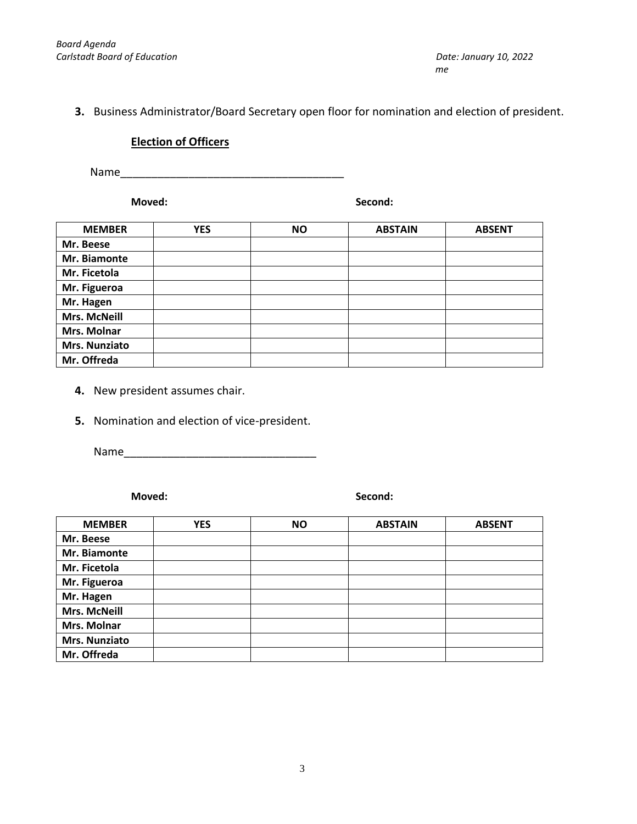# **3.** Business Administrator/Board Secretary open floor for nomination and election of president.

# **Election of Officers**

Name\_\_\_\_\_\_\_\_\_\_\_\_\_\_\_\_\_\_\_\_\_\_\_\_\_\_\_\_\_\_\_\_\_\_\_\_

**Moved: Second:**

| <b>MEMBER</b>       | <b>YES</b> | <b>NO</b> | <b>ABSTAIN</b> | <b>ABSENT</b> |
|---------------------|------------|-----------|----------------|---------------|
| Mr. Beese           |            |           |                |               |
| Mr. Biamonte        |            |           |                |               |
| Mr. Ficetola        |            |           |                |               |
| Mr. Figueroa        |            |           |                |               |
| Mr. Hagen           |            |           |                |               |
| <b>Mrs. McNeill</b> |            |           |                |               |
| Mrs. Molnar         |            |           |                |               |
| Mrs. Nunziato       |            |           |                |               |
| Mr. Offreda         |            |           |                |               |

- **4.** New president assumes chair.
- **5.** Nomination and election of vice-president.

Name

**Moved: Second:**

| <b>MEMBER</b>       | <b>YES</b> | <b>NO</b> | <b>ABSTAIN</b> | <b>ABSENT</b> |
|---------------------|------------|-----------|----------------|---------------|
| Mr. Beese           |            |           |                |               |
| Mr. Biamonte        |            |           |                |               |
| Mr. Ficetola        |            |           |                |               |
| Mr. Figueroa        |            |           |                |               |
| Mr. Hagen           |            |           |                |               |
| <b>Mrs. McNeill</b> |            |           |                |               |
| <b>Mrs. Molnar</b>  |            |           |                |               |
| Mrs. Nunziato       |            |           |                |               |
| Mr. Offreda         |            |           |                |               |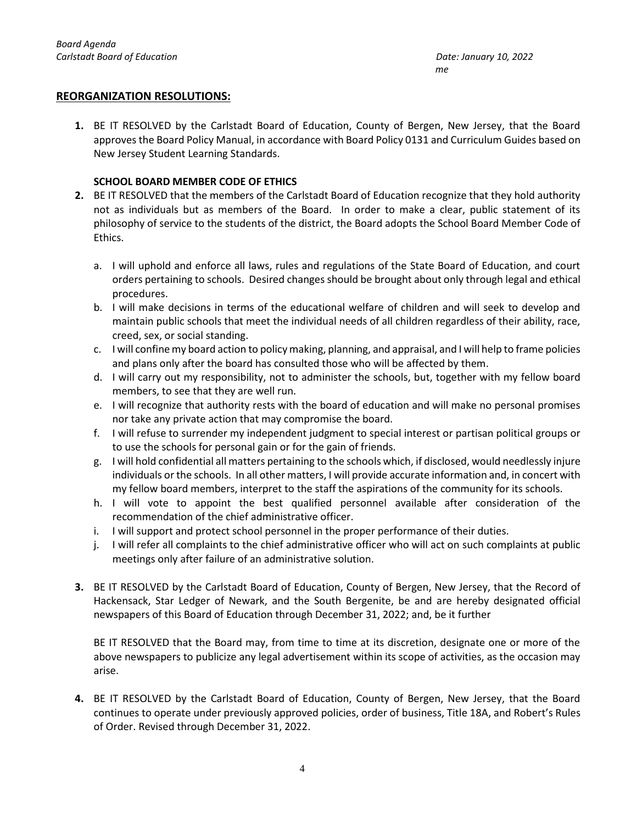## **REORGANIZATION RESOLUTIONS:**

**1.** BE IT RESOLVED by the Carlstadt Board of Education, County of Bergen, New Jersey, that the Board approves the Board Policy Manual, in accordance with Board Policy 0131 and Curriculum Guides based on New Jersey Student Learning Standards.

## **SCHOOL BOARD MEMBER CODE OF ETHICS**

- **2.** BE IT RESOLVED that the members of the Carlstadt Board of Education recognize that they hold authority not as individuals but as members of the Board. In order to make a clear, public statement of its philosophy of service to the students of the district, the Board adopts the School Board Member Code of Ethics.
	- a. I will uphold and enforce all laws, rules and regulations of the State Board of Education, and court orders pertaining to schools. Desired changes should be brought about only through legal and ethical procedures.
	- b. I will make decisions in terms of the educational welfare of children and will seek to develop and maintain public schools that meet the individual needs of all children regardless of their ability, race, creed, sex, or social standing.
	- c. I will confine my board action to policy making, planning, and appraisal, and I will help to frame policies and plans only after the board has consulted those who will be affected by them.
	- d. I will carry out my responsibility, not to administer the schools, but, together with my fellow board members, to see that they are well run.
	- e. I will recognize that authority rests with the board of education and will make no personal promises nor take any private action that may compromise the board.
	- f. I will refuse to surrender my independent judgment to special interest or partisan political groups or to use the schools for personal gain or for the gain of friends.
	- g. I will hold confidential all matters pertaining to the schools which, if disclosed, would needlessly injure individuals or the schools. In all other matters, I will provide accurate information and, in concert with my fellow board members, interpret to the staff the aspirations of the community for its schools.
	- h. I will vote to appoint the best qualified personnel available after consideration of the recommendation of the chief administrative officer.
	- i. I will support and protect school personnel in the proper performance of their duties.
	- j. I will refer all complaints to the chief administrative officer who will act on such complaints at public meetings only after failure of an administrative solution.
- **3.** BE IT RESOLVED by the Carlstadt Board of Education, County of Bergen, New Jersey, that the Record of Hackensack, Star Ledger of Newark, and the South Bergenite, be and are hereby designated official newspapers of this Board of Education through December 31, 2022; and, be it further

BE IT RESOLVED that the Board may, from time to time at its discretion, designate one or more of the above newspapers to publicize any legal advertisement within its scope of activities, as the occasion may arise.

**4.** BE IT RESOLVED by the Carlstadt Board of Education, County of Bergen, New Jersey, that the Board continues to operate under previously approved policies, order of business, Title 18A, and Robert's Rules of Order. Revised through December 31, 2022.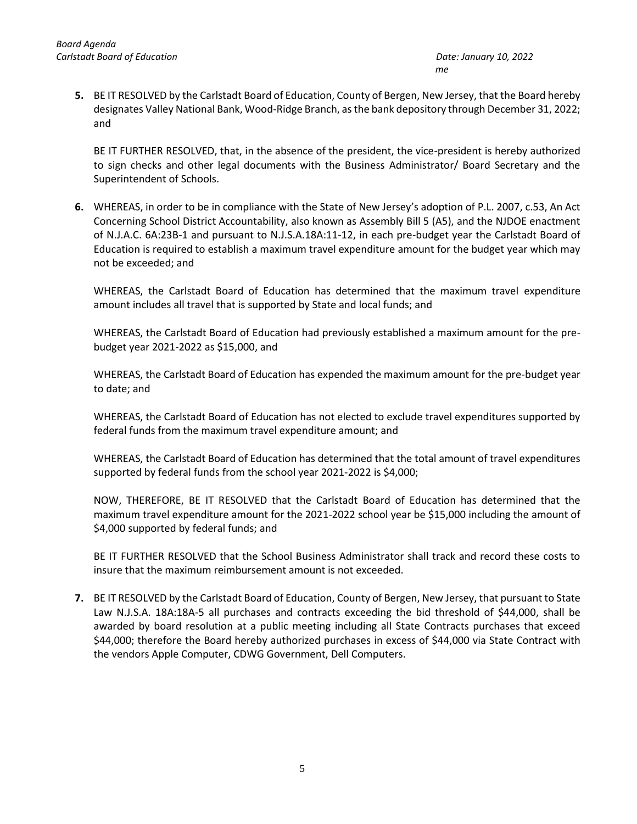**5.** BE IT RESOLVED by the Carlstadt Board of Education, County of Bergen, New Jersey, that the Board hereby designates Valley National Bank, Wood-Ridge Branch, as the bank depository through December 31, 2022; and

BE IT FURTHER RESOLVED, that, in the absence of the president, the vice-president is hereby authorized to sign checks and other legal documents with the Business Administrator/ Board Secretary and the Superintendent of Schools.

**6.** WHEREAS, in order to be in compliance with the State of New Jersey's adoption of P.L. 2007, c.53, An Act Concerning School District Accountability, also known as Assembly Bill 5 (A5), and the NJDOE enactment of N.J.A.C. 6A:23B-1 and pursuant to N.J.S.A.18A:11-12, in each pre-budget year the Carlstadt Board of Education is required to establish a maximum travel expenditure amount for the budget year which may not be exceeded; and

WHEREAS, the Carlstadt Board of Education has determined that the maximum travel expenditure amount includes all travel that is supported by State and local funds; and

WHEREAS, the Carlstadt Board of Education had previously established a maximum amount for the prebudget year 2021-2022 as \$15,000, and

WHEREAS, the Carlstadt Board of Education has expended the maximum amount for the pre-budget year to date; and

WHEREAS, the Carlstadt Board of Education has not elected to exclude travel expenditures supported by federal funds from the maximum travel expenditure amount; and

WHEREAS, the Carlstadt Board of Education has determined that the total amount of travel expenditures supported by federal funds from the school year 2021-2022 is \$4,000;

NOW, THEREFORE, BE IT RESOLVED that the Carlstadt Board of Education has determined that the maximum travel expenditure amount for the 2021-2022 school year be \$15,000 including the amount of \$4,000 supported by federal funds; and

BE IT FURTHER RESOLVED that the School Business Administrator shall track and record these costs to insure that the maximum reimbursement amount is not exceeded.

**7.** BE IT RESOLVED by the Carlstadt Board of Education, County of Bergen, New Jersey, that pursuant to State Law N.J.S.A. 18A:18A-5 all purchases and contracts exceeding the bid threshold of \$44,000, shall be awarded by board resolution at a public meeting including all State Contracts purchases that exceed \$44,000; therefore the Board hereby authorized purchases in excess of \$44,000 via State Contract with the vendors Apple Computer, CDWG Government, Dell Computers.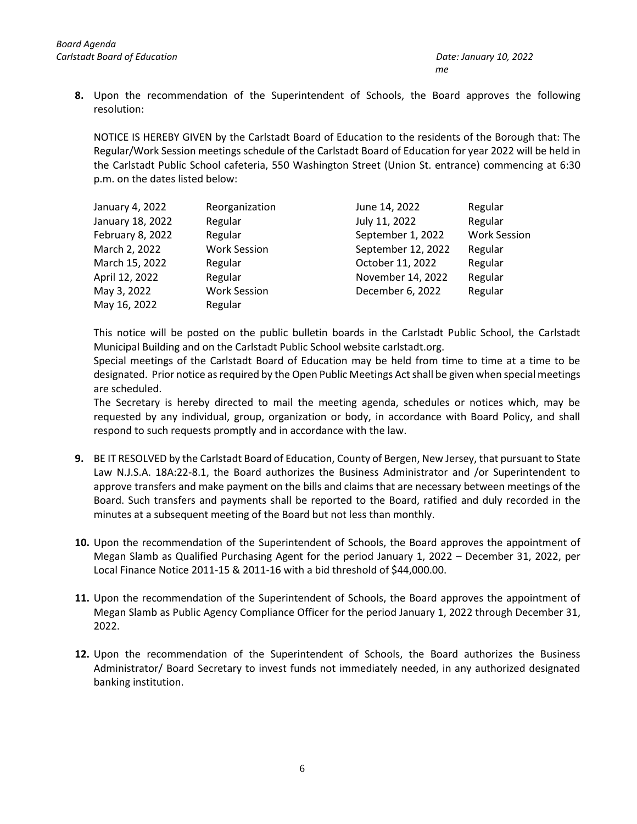**8.** Upon the recommendation of the Superintendent of Schools, the Board approves the following resolution:

NOTICE IS HEREBY GIVEN by the Carlstadt Board of Education to the residents of the Borough that: The Regular/Work Session meetings schedule of the Carlstadt Board of Education for year 2022 will be held in the Carlstadt Public School cafeteria, 550 Washington Street (Union St. entrance) commencing at 6:30 p.m. on the dates listed below:

| January 4, 2022  | Reorganization      | June 14, 2022      | Regular             |
|------------------|---------------------|--------------------|---------------------|
| January 18, 2022 | Regular             | July 11, 2022      | Regular             |
| February 8, 2022 | Regular             | September 1, 2022  | <b>Work Session</b> |
| March 2, 2022    | <b>Work Session</b> | September 12, 2022 | Regular             |
| March 15, 2022   | Regular             | October 11, 2022   | Regular             |
| April 12, 2022   | Regular             | November 14, 2022  | Regular             |
| May 3, 2022      | <b>Work Session</b> | December 6, 2022   | Regular             |
| May 16, 2022     | Regular             |                    |                     |

This notice will be posted on the public bulletin boards in the Carlstadt Public School, the Carlstadt Municipal Building and on the Carlstadt Public School website carlstadt.org.

Special meetings of the Carlstadt Board of Education may be held from time to time at a time to be designated. Prior notice as required by the Open Public Meetings Act shall be given when special meetings are scheduled.

The Secretary is hereby directed to mail the meeting agenda, schedules or notices which, may be requested by any individual, group, organization or body, in accordance with Board Policy, and shall respond to such requests promptly and in accordance with the law.

- **9.** BE IT RESOLVED by the Carlstadt Board of Education, County of Bergen, New Jersey, that pursuant to State Law N.J.S.A. 18A:22-8.1, the Board authorizes the Business Administrator and /or Superintendent to approve transfers and make payment on the bills and claims that are necessary between meetings of the Board. Such transfers and payments shall be reported to the Board, ratified and duly recorded in the minutes at a subsequent meeting of the Board but not less than monthly.
- **10.** Upon the recommendation of the Superintendent of Schools, the Board approves the appointment of Megan Slamb as Qualified Purchasing Agent for the period January 1, 2022 – December 31, 2022, per Local Finance Notice 2011-15 & 2011-16 with a bid threshold of \$44,000.00.
- **11.** Upon the recommendation of the Superintendent of Schools, the Board approves the appointment of Megan Slamb as Public Agency Compliance Officer for the period January 1, 2022 through December 31, 2022.
- **12.** Upon the recommendation of the Superintendent of Schools, the Board authorizes the Business Administrator/ Board Secretary to invest funds not immediately needed, in any authorized designated banking institution.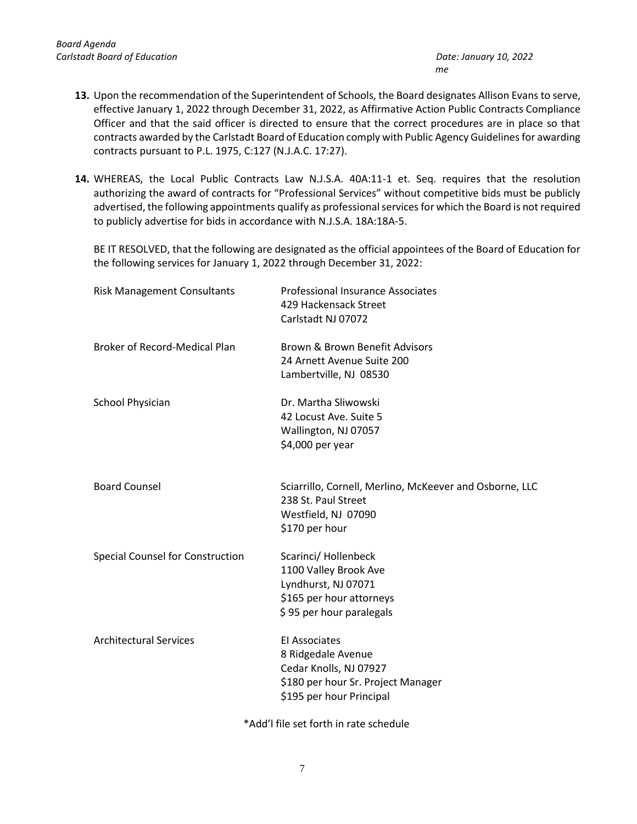- **13.** Upon the recommendation of the Superintendent of Schools, the Board designates Allison Evans to serve, effective January 1, 2022 through December 31, 2022, as Affirmative Action Public Contracts Compliance Officer and that the said officer is directed to ensure that the correct procedures are in place so that contracts awarded by the Carlstadt Board of Education comply with Public Agency Guidelines for awarding contracts pursuant to P.L. 1975, C:127 (N.J.A.C. 17:27).
- **14.** WHEREAS, the Local Public Contracts Law N.J.S.A. 40A:11-1 et. Seq. requires that the resolution authorizing the award of contracts for "Professional Services" without competitive bids must be publicly advertised, the following appointments qualify as professional services for which the Board is not required to publicly advertise for bids in accordance with N.J.S.A. 18A:18A-5.

BE IT RESOLVED, that the following are designated as the official appointees of the Board of Education for the following services for January 1, 2022 through December 31, 2022:

| <b>Risk Management Consultants</b>   | <b>Professional Insurance Associates</b><br>429 Hackensack Street<br>Carlstadt NJ 07072                                                |
|--------------------------------------|----------------------------------------------------------------------------------------------------------------------------------------|
| <b>Broker of Record-Medical Plan</b> | Brown & Brown Benefit Advisors<br>24 Arnett Avenue Suite 200<br>Lambertville, NJ 08530                                                 |
| School Physician                     | Dr. Martha Sliwowski<br>42 Locust Ave. Suite 5<br>Wallington, NJ 07057<br>\$4,000 per year                                             |
| <b>Board Counsel</b>                 | Sciarrillo, Cornell, Merlino, McKeever and Osborne, LLC<br>238 St. Paul Street<br>Westfield, NJ 07090<br>\$170 per hour                |
| Special Counsel for Construction     | Scarinci/Hollenbeck<br>1100 Valley Brook Ave<br>Lyndhurst, NJ 07071<br>\$165 per hour attorneys<br>\$95 per hour paralegals            |
| <b>Architectural Services</b>        | <b>El Associates</b><br>8 Ridgedale Avenue<br>Cedar Knolls, NJ 07927<br>\$180 per hour Sr. Project Manager<br>\$195 per hour Principal |

\*Add'l file set forth in rate schedule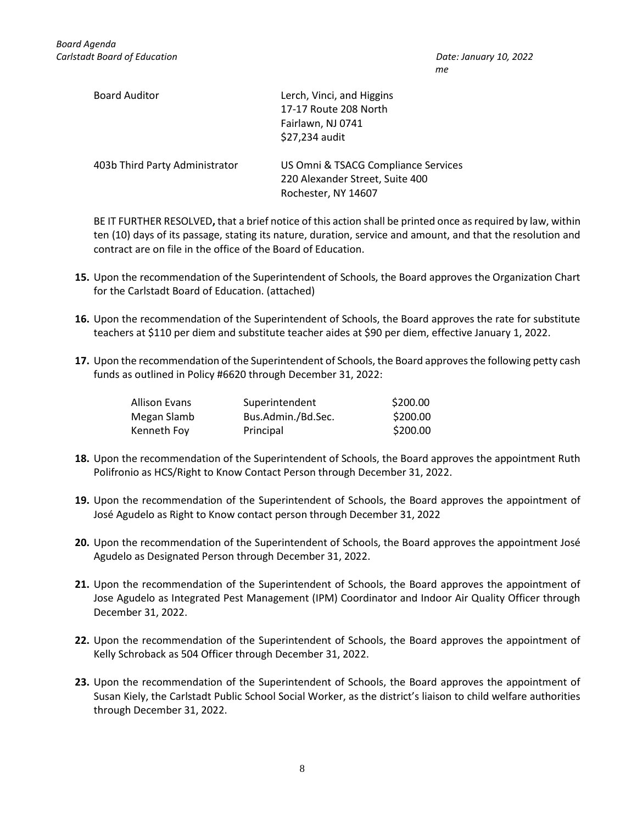*me*

| <b>Board Auditor</b>           | Lerch, Vinci, and Higgins<br>17-17 Route 208 North<br>Fairlawn, NJ 0741<br>\$27,234 audit     |
|--------------------------------|-----------------------------------------------------------------------------------------------|
| 403b Third Party Administrator | US Omni & TSACG Compliance Services<br>220 Alexander Street, Suite 400<br>Rochester, NY 14607 |

BE IT FURTHER RESOLVED**,** that a brief notice of this action shall be printed once as required by law, within ten (10) days of its passage, stating its nature, duration, service and amount, and that the resolution and contract are on file in the office of the Board of Education.

- **15.** Upon the recommendation of the Superintendent of Schools, the Board approves the Organization Chart for the Carlstadt Board of Education. (attached)
- **16.** Upon the recommendation of the Superintendent of Schools, the Board approves the rate for substitute teachers at \$110 per diem and substitute teacher aides at \$90 per diem, effective January 1, 2022.
- **17.** Upon the recommendation of the Superintendent of Schools, the Board approvesthe following petty cash funds as outlined in Policy #6620 through December 31, 2022:

| Allison Evans | Superintendent     | \$200.00 |
|---------------|--------------------|----------|
| Megan Slamb   | Bus.Admin./Bd.Sec. | \$200.00 |
| Kenneth Foy   | Principal          | \$200.00 |

- **18.** Upon the recommendation of the Superintendent of Schools, the Board approves the appointment Ruth Polifronio as HCS/Right to Know Contact Person through December 31, 2022.
- **19.** Upon the recommendation of the Superintendent of Schools, the Board approves the appointment of José Agudelo as Right to Know contact person through December 31, 2022
- **20.** Upon the recommendation of the Superintendent of Schools, the Board approves the appointment José Agudelo as Designated Person through December 31, 2022.
- **21.** Upon the recommendation of the Superintendent of Schools, the Board approves the appointment of Jose Agudelo as Integrated Pest Management (IPM) Coordinator and Indoor Air Quality Officer through December 31, 2022.
- **22.** Upon the recommendation of the Superintendent of Schools, the Board approves the appointment of Kelly Schroback as 504 Officer through December 31, 2022.
- **23.** Upon the recommendation of the Superintendent of Schools, the Board approves the appointment of Susan Kiely, the Carlstadt Public School Social Worker, as the district's liaison to child welfare authorities through December 31, 2022.